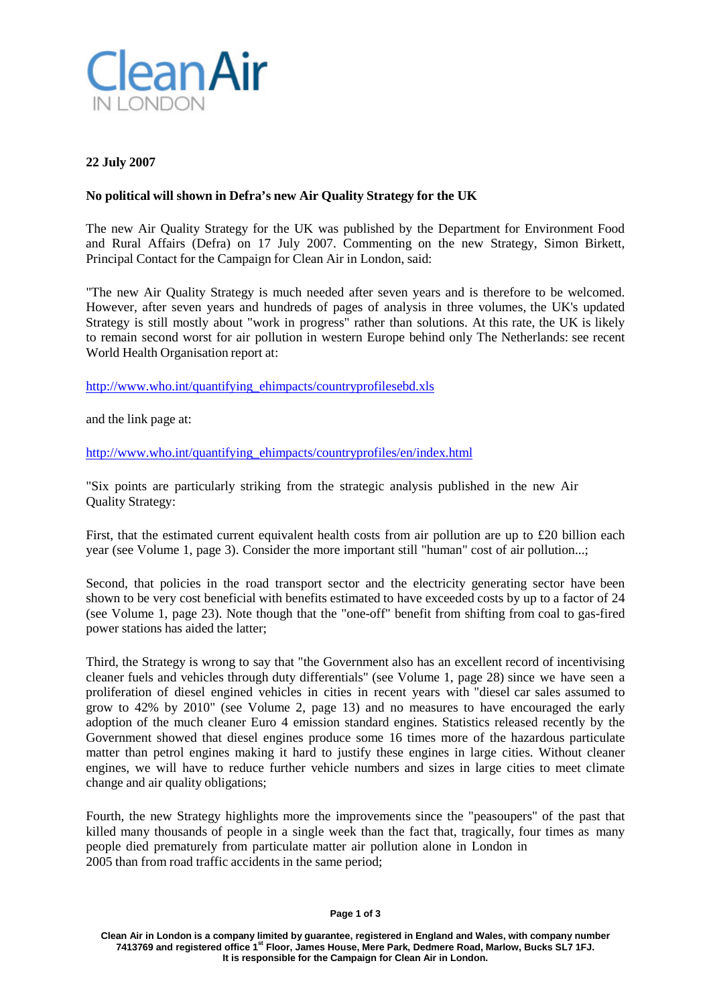

## **22 July 2007**

## **No political will shown in Defra's new Air Quality Strategy for the UK**

The new Air Quality Strategy for the UK was published by the Department for Environment Food and Rural Affairs (Defra) on 17 July 2007. Commenting on the new Strategy, Simon Birkett, Principal Contact for the Campaign for Clean Air in London, said:

"The new Air Quality Strategy is much needed after seven years and is therefore to be welcomed. However, after seven years and hundreds of pages of analysis in three volumes, the UK's updated Strategy is still mostly about "work in progress" rather than solutions. At this rate, the UK is likely to remain second worst for air pollution in western Europe behind only The Netherlands: see recent World Health Organisation report at:

[http://www.who.int/quantifying\\_ehimpacts/countryprofilesebd.xls](http://www.who.int/quantifying_ehimpacts/countryprofilesebd.xls)

and the link page at:

[http://www.who.int/quantifying\\_ehimpacts/countryprofiles/en/index.html](http://www.who.int/quantifying_ehimpacts/countryprofiles/en/index.html)

"Six points are particularly striking from the strategic analysis published in the new Air Quality Strategy:

First, that the estimated current equivalent health costs from air pollution are up to £20 billion each year (see Volume 1, page 3). Consider the more important still "human" cost of air pollution...;

Second, that policies in the road transport sector and the electricity generating sector have been shown to be very cost beneficial with benefits estimated to have exceeded costs by up to a factor of 24 (see Volume 1, page 23). Note though that the "one-off" benefit from shifting from coal to gas-fired power stations has aided the latter;

Third, the Strategy is wrong to say that "the Government also has an excellent record of incentivising cleaner fuels and vehicles through duty differentials" (see Volume 1, page 28) since we have seen a proliferation of diesel engined vehicles in cities in recent years with "diesel car sales assumed to grow to 42% by 2010" (see Volume 2, page 13) and no measures to have encouraged the early adoption of the much cleaner Euro 4 emission standard engines. Statistics released recently by the Government showed that diesel engines produce some 16 times more of the hazardous particulate matter than petrol engines making it hard to justify these engines in large cities. Without cleaner engines, we will have to reduce further vehicle numbers and sizes in large cities to meet climate change and air quality obligations;

Fourth, the new Strategy highlights more the improvements since the "peasoupers" of the past that killed many thousands of people in a single week than the fact that, tragically, four times as many people died prematurely from particulate matter air pollution alone in London in 2005 than from road traffic accidents in the same period;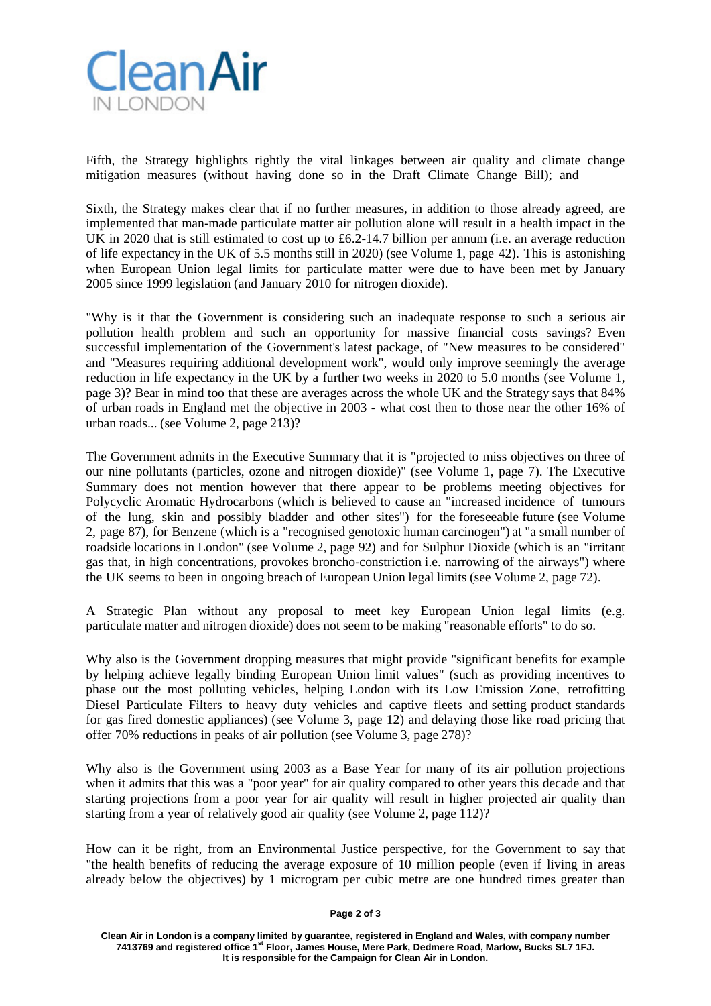

Fifth, the Strategy highlights rightly the vital linkages between air quality and climate change mitigation measures (without having done so in the Draft Climate Change Bill); and

Sixth, the Strategy makes clear that if no further measures, in addition to those already agreed, are implemented that man-made particulate matter air pollution alone will result in a health impact in the UK in 2020 that is still estimated to cost up to £6.2-14.7 billion per annum (i.e. an average reduction of life expectancy in the UK of 5.5 months still in 2020) (see Volume 1, page 42). This is astonishing when European Union legal limits for particulate matter were due to have been met by January 2005 since 1999 legislation (and January 2010 for nitrogen dioxide).

"Why is it that the Government is considering such an inadequate response to such a serious air pollution health problem and such an opportunity for massive financial costs savings? Even successful implementation of the Government's latest package, of "New measures to be considered" and "Measures requiring additional development work", would only improve seemingly the average reduction in life expectancy in the UK by a further two weeks in 2020 to 5.0 months (see Volume 1, page 3)? Bear in mind too that these are averages across the whole UK and the Strategy says that 84% of urban roads in England met the objective in 2003 - what cost then to those near the other 16% of urban roads... (see Volume 2, page 213)?

The Government admits in the Executive Summary that it is "projected to miss objectives on three of our nine pollutants (particles, ozone and nitrogen dioxide)" (see Volume 1, page 7). The Executive Summary does not mention however that there appear to be problems meeting objectives for Polycyclic Aromatic Hydrocarbons (which is believed to cause an "increased incidence of tumours of the lung, skin and possibly bladder and other sites") for the foreseeable future (see Volume 2, page 87), for Benzene (which is a "recognised genotoxic human carcinogen") at "a small number of roadside locations in London" (see Volume 2, page 92) and for Sulphur Dioxide (which is an "irritant gas that, in high concentrations, provokes broncho-constriction i.e. narrowing of the airways") where the UK seems to been in ongoing breach of European Union legal limits (see Volume 2, page 72).

A Strategic Plan without any proposal to meet key European Union legal limits (e.g. particulate matter and nitrogen dioxide) does not seem to be making "reasonable efforts" to do so.

Why also is the Government dropping measures that might provide "significant benefits for example by helping achieve legally binding European Union limit values" (such as providing incentives to phase out the most polluting vehicles, helping London with its Low Emission Zone, retrofitting Diesel Particulate Filters to heavy duty vehicles and captive fleets and setting product standards for gas fired domestic appliances) (see Volume 3, page 12) and delaying those like road pricing that offer 70% reductions in peaks of air pollution (see Volume 3, page 278)?

Why also is the Government using 2003 as a Base Year for many of its air pollution projections when it admits that this was a "poor year" for air quality compared to other years this decade and that starting projections from a poor year for air quality will result in higher projected air quality than starting from a year of relatively good air quality (see Volume 2, page 112)?

How can it be right, from an Environmental Justice perspective, for the Government to say that "the health benefits of reducing the average exposure of 10 million people (even if living in areas already below the objectives) by 1 microgram per cubic metre are one hundred times greater than

## **Page 2 of 3**

**Clean Air in London is a company limited by guarantee, registered in England and Wales, with company number 7413769 and registered office 1st Floor, James House, Mere Park, Dedmere Road, Marlow, Bucks SL7 1FJ. It is responsible for the Campaign for Clean Air in London.**